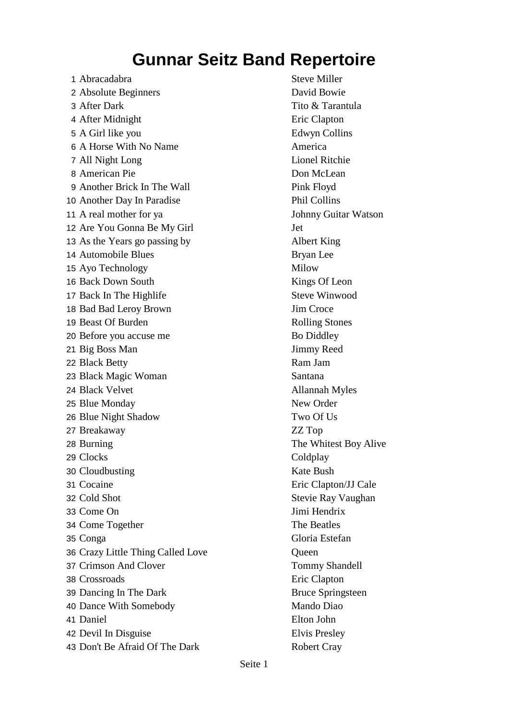1 Abracadabra Steve Miller 2 Absolute Beginners David Bowie 3 After Dark Tito & Tarantula 4 After Midnight **Example 2** Eric Clapton 5 A Girl like you Edwyn Collins 6 A Horse With No Name America 7 All Night Long Lionel Ritchie 8 American Pie Don McLean 9 Another Brick In The Wall Pink Floyd 10 Another Day In Paradise Phil Collins 11 A real mother for ya Johnny Guitar Watson 12 Are You Gonna Be My Girl Jet 13 As the Years go passing by Albert King 14 Automobile Blues Bryan Lee 15 Ayo Technology Milow 16 Back Down South Kings Of Leon 17 Back In The Highlife Steve Winwood 18 Bad Bad Leroy Brown Jim Croce 19 Beast Of Burden Rolling Stones 20 Before you accuse me Bo Diddley 21 Big Boss Man Jimmy Reed 22 Black Betty Ram Jam 23 Black Magic Woman Santana 24 Black Velvet Allannah Myles 25 Blue Monday New Order 26 Blue Night Shadow Two Of Us 27 Breakaway ZZ Top 28 Burning The Whitest Boy Alive 29 Clocks Coldplay 30 Cloudbusting Kate Bush 31 Cocaine Eric Clapton/JJ Cale 32 Cold Shot Stevie Ray Vaughan 33 Come On Jimi Hendrix 34 Come Together The Beatles 35 Conga Gloria Estefan 36 Crazy Little Thing Called Love Queen 37 Crimson And Clover Tommy Shandell 38 Crossroads Eric Clapton 39 Dancing In The Dark Bruce Springsteen 40 Dance With Somebody Mando Diao 41 Daniel Elton John 42 Devil In Disguise Elvis Presley 43 Don't Be Afraid Of The Dark Robert Cray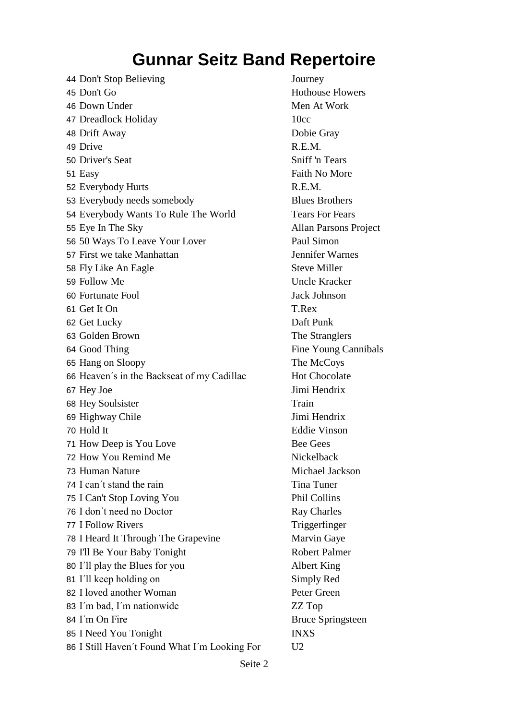44 Don't Stop Believing Journey 45 Don't Go Hothouse Flowers 46 Down Under Men At Work 47 Dreadlock Holiday 10cc 48 Drift Away Dobie Gray 49 Drive R.E.M. 50 Driver's Seat Sniff 'n Tears 51 Easy Faith No More 52 Everybody Hurts R.E.M. 53 Everybody needs somebody Blues Brothers 54 Everybody Wants To Rule The World Tears For Fears 55 Eye In The Sky Allan Parsons Project 56 50 Ways To Leave Your Lover Paul Simon 57 First we take Manhattan Jennifer Warnes 58 Fly Like An Eagle Steve Miller 59 Follow Me Uncle Kracker 60 Fortunate Fool Jack Johnson 61 Get It On T.Rex 62 Get Lucky Daft Punk 63 Golden Brown The Stranglers 64 Good Thing Fine Young Cannibals 65 Hang on Sloopy The McCoys 66 Heaven's in the Backseat of my Cadillac Hot Chocolate 67 Hey Joe Jimi Hendrix 68 Hey Soulsister Train 69 Highway Chile Jimi Hendrix 70 Hold It Eddie Vinson 71 How Deep is You Love Bee Gees 72 How You Remind Me Nickelback 73 Human Nature Michael Jackson 74 I can't stand the rain Tina Tuner 75 I Can't Stop Loving You Phil Collins 76 I don't need no Doctor Ray Charles 77 I Follow Rivers Triggerfinger 78 I Heard It Through The Grapevine Marvin Gaye 79 I'll Be Your Baby Tonight Robert Palmer 80 I´ll play the Blues for you Albert King 81 I'll keep holding on Simply Red 82 I loved another Woman Peter Green 83 I´m bad, I´m nationwide ZZ Top 84 I'm On Fire Bruce Springsteen 85 I Need You Tonight INXS 86 I Still Haven't Found What I'm Looking For U2

#### Seite 2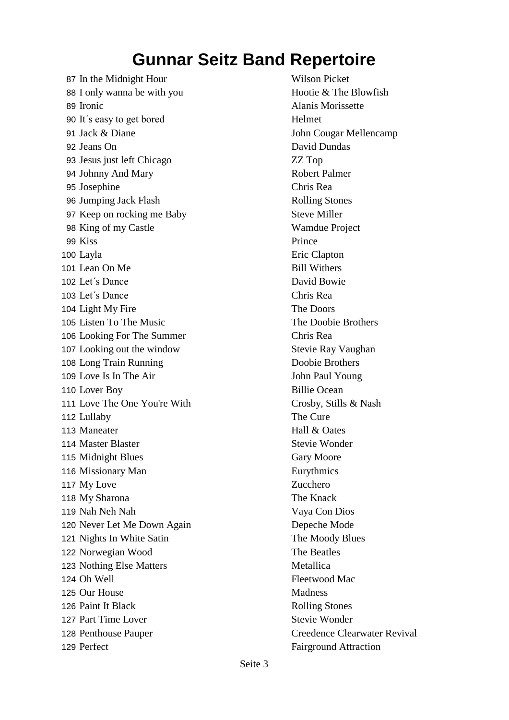87 In the Midnight Hour Wilson Picket 88 I only wanna be with you Hootie & The Blowfish 89 Ironic **Alanis Morissette** 90 It's easy to get bored Helmet 91 Jack & Diane John Cougar Mellencamp 92 Jeans On David Dundas 93 Jesus just left Chicago ZZ Top 94 Johnny And Mary Robert Palmer 95 Josephine Chris Rea 96 Jumping Jack Flash Rolling Stones 97 Keep on rocking me Baby Steve Miller 98 King of my Castle Wamdue Project 99 Kiss Prince 100 Layla Eric Clapton 101 Lean On Me Bill Withers 102 Let's Dance David Bowie 103 Let´s Dance Chris Rea 104 Light My Fire The Doors 105 Listen To The Music The Doobie Brothers 106 Looking For The Summer Chris Rea 107 Looking out the window Stevie Ray Vaughan 108 Long Train Running Doobie Brothers 109 Love Is In The Air John Paul Young 110 Lover Boy Billie Ocean 111 Love The One You're With Crosby, Stills & Nash 112 Lullaby The Cure 113 Maneater Hall & Oates 114 Master Blaster Stevie Wonder 115 Midnight Blues Gary Moore 116 Missionary Man Eurythmics 117 My Love Zucchero 118 My Sharona The Knack 119 Nah Neh Nah Vaya Con Dios 120 Never Let Me Down Again Depeche Mode 121 Nights In White Satin The Moody Blues 122 Norwegian Wood The Beatles 123 Nothing Else Matters Metallica 124 Oh Well Fleetwood Mac 125 Our House Madness 126 Paint It Black Rolling Stones 127 Part Time Lover Stevie Wonder 128 Penthouse Pauper Creedence Clearwater Revival 129 Perfect Fairground Attraction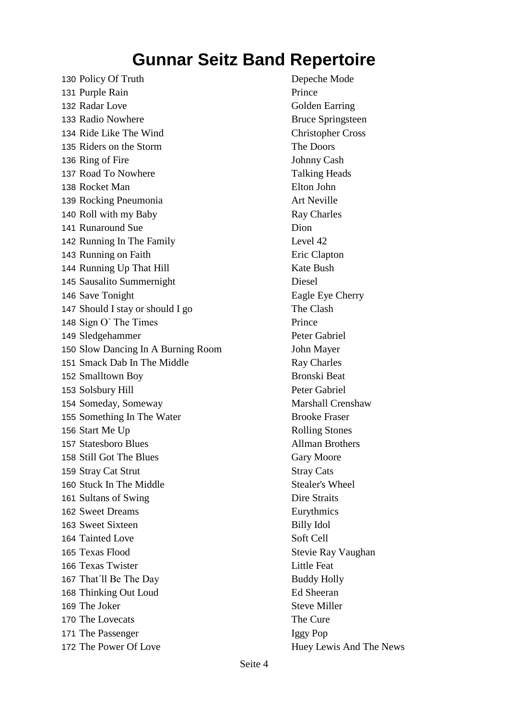130 Policy Of Truth Depeche Mode 131 Purple Rain Prince 132 Radar Love Golden Earring 133 Radio Nowhere Bruce Springsteen 134 Ride Like The Wind Christopher Cross 135 Riders on the Storm The Doors 136 Ring of Fire Johnny Cash 137 Road To Nowhere Talking Heads 138 Rocket Man Elton John 139 Rocking Pneumonia **Art Neville** 140 Roll with my Baby Ray Charles 141 Runaround Sue Dion 142 Running In The Family Level 42 143 Running on Faith Eric Clapton 144 Running Up That Hill Kate Bush 145 Sausalito Summernight Diesel 146 Save Tonight Eagle Eye Cherry 147 Should I stay or should I go The Clash 148 Sign O' The Times Prince 149 Sledgehammer Peter Gabriel 150 Slow Dancing In A Burning Room John Mayer 151 Smack Dab In The Middle Ray Charles 152 Smalltown Boy Bronski Beat 153 Solsbury Hill Peter Gabriel 154 Someday, Someway Marshall Crenshaw 155 Something In The Water Brooke Fraser 156 Start Me Up Rolling Stones 157 Statesboro Blues Allman Brothers 158 Still Got The Blues Gary Moore 159 Stray Cat Strut Stray Cats 160 Stuck In The Middle Stealer's Wheel 161 Sultans of Swing Dire Straits 162 Sweet Dreams Eurythmics 163 Sweet Sixteen Billy Idol 164 Tainted Love Soft Cell 165 Texas Flood Stevie Ray Vaughan 166 Texas Twister Little Feat 167 That'll Be The Day Buddy Holly 168 Thinking Out Loud Ed Sheeran 169 The Joker Steve Miller 170 The Lovecats The Cure 171 The Passenger Iggy Pop 172 The Power Of Love Huey Lewis And The News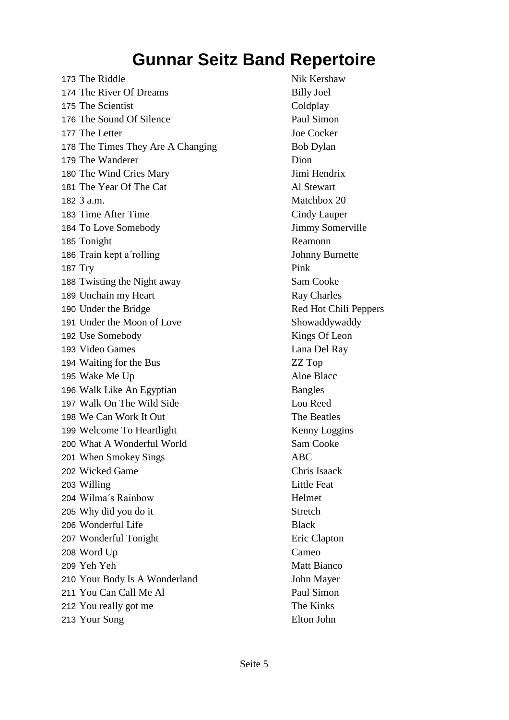173 The Riddle Nik Kershaw 174 The River Of Dreams Billy Joel 175 The Scientist Coldplay 176 The Sound Of Silence Paul Simon 177 The Letter Joe Cocker 178 The Times They Are A Changing Bob Dylan 179 The Wanderer Dion 180 The Wind Cries Mary Jimi Hendrix 181 The Year Of The Cat Al Stewart 182 3 a.m. Matchbox 20 183 Time After Time **Cindy Lauper** 184 To Love Somebody Jimmy Somerville 185 Tonight Reamonn 186 Train kept a'rolling Johnny Burnette 187 Try Pink 188 Twisting the Night away Sam Cooke 189 Unchain my Heart Ray Charles 190 Under the Bridge Red Hot Chili Peppers 191 Under the Moon of Love Showaddywaddy 192 Use Somebody Kings Of Leon 193 Video Games Lana Del Ray 194 Waiting for the Bus **ZZ** Top 195 Wake Me Up Aloe Blacc 196 Walk Like An Egyptian Bangles 197 Walk On The Wild Side Lou Reed 198 We Can Work It Out The Beatles 199 Welcome To Heartlight Kenny Loggins 200 What A Wonderful World Sam Cooke 201 When Smokey Sings ABC 202 Wicked Game Chris Isaack 203 Willing Little Feat 204 Wilma´s Rainbow Helmet 205 Why did you do it Stretch 206 Wonderful Life Black 207 Wonderful Tonight Eric Clapton 208 Word Up Cameo 209 Yeh Yeh Matt Bianco 210 Your Body Is A Wonderland John Mayer 211 You Can Call Me Al Paul Simon 212 You really got me The Kinks 213 Your Song Elton John